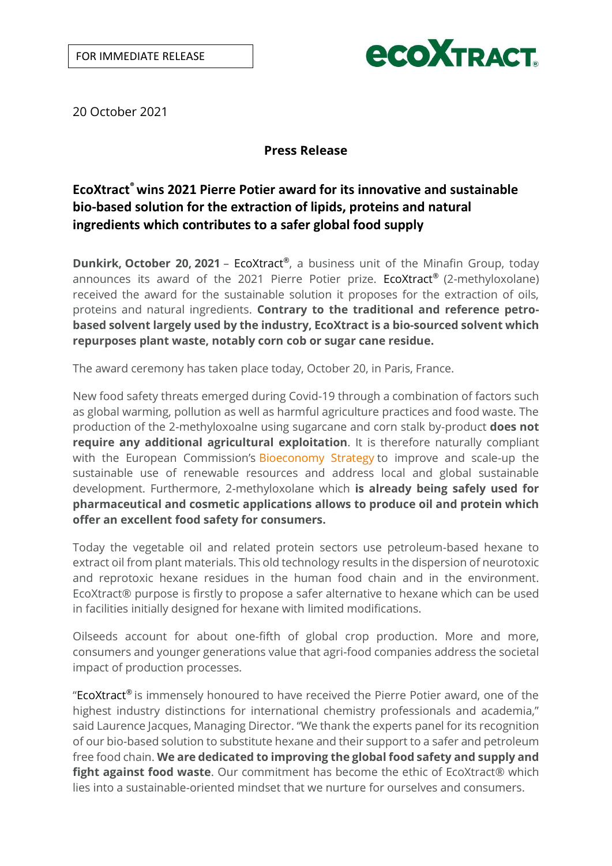

20 October 2021

# **Press Release**

# **EcoXtract®wins 2021 Pierre Potier award for its innovative and sustainable bio-based solution for the extraction of lipids, proteins and natural ingredients which contributes to a safer global food supply**

**Dunkirk, October 20, 2021** - EcoXtract®, a business unit of the Minafin Group, today announces its award of the 2021 Pierre Potier prize. EcoXtract® (2-methyloxolane) received the award for the sustainable solution it proposes for the extraction of oils, proteins and natural ingredients. **Contrary to the traditional and reference petrobased solvent largely used by the industry, EcoXtract is a bio-sourced solvent which repurposes plant waste, notably corn cob or sugar cane residue.**

The award ceremony has taken place today, October 20, in Paris, France.

New food safety threats emerged during Covid-19 through a combination of factors such as global warming, pollution as well as harmful agriculture practices and food waste. The production of the 2-methyloxoalne using sugarcane and corn stalk by-product **does not require any additional agricultural exploitation**. It is therefore naturally compliant with the European Commission's [Bioeconomy](https://ec.europa.eu/commission/news/new-bioeconomy-strategy-sustainable-europe-2018-oct-11-0_en) Strategy to improve and scale-up the sustainable use of renewable resources and address local and global sustainable development. Furthermore, 2-methyloxolane which **is already being safely used for pharmaceutical and cosmetic applications allows to produce oil and protein which offer an excellent food safety for consumers.** 

Today the vegetable oil and related protein sectors use petroleum-based hexane to extract oil from plant materials. This old technology results in the dispersion of neurotoxic and reprotoxic hexane residues in the human food chain and in the environment. EcoXtract® purpose is firstly to propose a safer alternative to hexane which can be used in facilities initially designed for hexane with limited modifications.

Oilseeds account for about one-fifth of global crop production. More and more, consumers and younger generations value that agri-food companies address the societal impact of production processes.

"EcoXtract® is immensely honoured to have received the Pierre Potier award, one of the highest industry distinctions for international chemistry professionals and academia," said Laurence Jacques, Managing Director. "We thank the experts panel for its recognition of our bio-based solution to substitute hexane and their support to a safer and petroleum free food chain. **We are dedicated to improving the global food safety and supply and fight against food waste**. Our commitment has become the ethic of EcoXtract® which lies into a sustainable-oriented mindset that we nurture for ourselves and consumers.